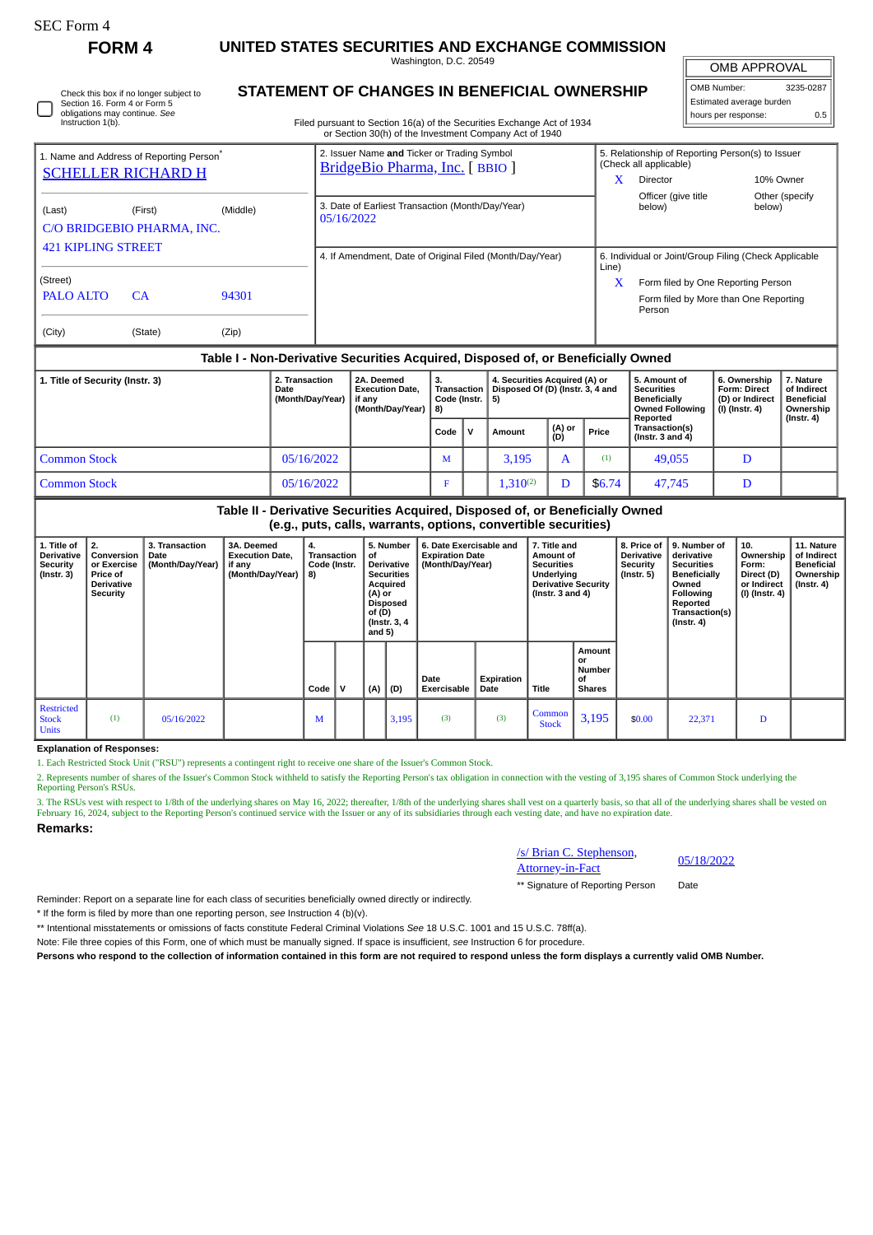Check this box if no longer subject to Section 16. Form 4 or Form 5 obligations may continue. *See* Instruction 1(b).

**FORM 4 UNITED STATES SECURITIES AND EXCHANGE COMMISSION**

Washington, D.C. 20549 **STATEMENT OF CHANGES IN BENEFICIAL OWNERSHIP**

OMB APPROVAL

| OMB Number:              | 3235-0287 |  |  |  |  |  |  |  |  |  |
|--------------------------|-----------|--|--|--|--|--|--|--|--|--|
| Estimated average burden |           |  |  |  |  |  |  |  |  |  |
| hours per response:      | 0.5       |  |  |  |  |  |  |  |  |  |

Filed pursuant to Section 16(a) of the Securities Exchange Act of 1934

|                                                                                  |           |          | or Section 30(h) of the Investment Company Act of 1940                         |                                                                                                      |  |  |  |  |  |  |
|----------------------------------------------------------------------------------|-----------|----------|--------------------------------------------------------------------------------|------------------------------------------------------------------------------------------------------|--|--|--|--|--|--|
| 1. Name and Address of Reporting Person <sup>®</sup>                             |           |          | 2. Issuer Name and Ticker or Trading Symbol<br>BridgeBio Pharma, Inc. [ BBIO ] | 5. Relationship of Reporting Person(s) to Issuer<br>(Check all applicable)                           |  |  |  |  |  |  |
| <b>SCHELLER RICHARD H</b>                                                        |           |          |                                                                                | X<br><b>Director</b><br>10% Owner                                                                    |  |  |  |  |  |  |
| (Last)<br>C/O BRIDGEBIO PHARMA, INC.                                             | (First)   | (Middle) | 3. Date of Earliest Transaction (Month/Day/Year)<br>05/16/2022                 | Officer (give title<br>Other (specify<br>below)<br>below)                                            |  |  |  |  |  |  |
| <b>421 KIPLING STREET</b>                                                        |           |          | 4. If Amendment, Date of Original Filed (Month/Day/Year)                       | 6. Individual or Joint/Group Filing (Check Applicable<br>Line)                                       |  |  |  |  |  |  |
| (Street)<br>PALO ALTO                                                            | <b>CA</b> | 94301    |                                                                                | $\mathbf x$<br>Form filed by One Reporting Person<br>Form filed by More than One Reporting<br>Person |  |  |  |  |  |  |
| (City)                                                                           | (State)   | (Zip)    |                                                                                |                                                                                                      |  |  |  |  |  |  |
| Table I - Non-Derivative Securities Acquired, Disposed of, or Beneficially Owned |           |          |                                                                                |                                                                                                      |  |  |  |  |  |  |

| 1. Title of Security (Instr. 3) | 2. Transaction<br>Date<br>(Month/Day/Year) | 2A. Deemed<br><b>Execution Date.</b><br>if anv<br>(Month/Dav/Year) | Transaction<br>Code (Instr. $\vert 5 \rangle$<br>l 8) |              | 4. Securities Acquired (A) or<br>Disposed Of (D) (Instr. 3, 4 and |               |        | 5. Amount of<br><b>Securities</b><br><b>Beneficially</b><br><b>Owned Following</b><br>Reported | 6. Ownership<br><b>Form: Direct</b><br>(D) or Indirect<br>(I) (Instr. 4) | 7. Nature<br>of Indirect<br><b>Beneficial</b><br>Ownership<br>$($ lnstr. 4 $)$ |
|---------------------------------|--------------------------------------------|--------------------------------------------------------------------|-------------------------------------------------------|--------------|-------------------------------------------------------------------|---------------|--------|------------------------------------------------------------------------------------------------|--------------------------------------------------------------------------|--------------------------------------------------------------------------------|
|                                 |                                            |                                                                    | Code                                                  | $\mathbf{v}$ | Amount                                                            | (A) or<br>(D) | Price  | Transaction(s)<br>(Instr. $3$ and $4$ )                                                        |                                                                          |                                                                                |
| Common Stock                    | 05/16/2022                                 |                                                                    | M                                                     |              | 3.195                                                             | A             | (1)    | 49,055                                                                                         |                                                                          |                                                                                |
| <b>Common Stock</b>             | 05/16/2022                                 |                                                                    | F                                                     |              | $1,310^{(2)}$                                                     |               | \$6.74 | 47,745                                                                                         |                                                                          |                                                                                |

**Table II - Derivative Securities Acquired, Disposed of, or Beneficially Owned (e.g., puts, calls, warrants, options, convertible securities)**

| 1. Title of<br><b>Derivative</b><br><b>Security</b><br>$($ lnstr. 3 $)$ | 2.<br>Conversion<br>or Exercise<br>Price of<br><b>Derivative</b><br>Security | 3. Transaction<br>Date<br>(Month/Day/Year) | 3A. Deemed<br><b>Execution Date,</b><br>if any<br>(Month/Day/Year) | 4.<br>Transaction<br>Code (Instr.<br>  8) |   | 5. Number<br>οf<br>Derivative<br><b>Securities</b><br>Acquired<br>(A) or<br><b>Disposed</b><br>of (D)<br>(Instr. 3, 4)<br>and 5) |       | 6. Date Exercisable and<br><b>Expiration Date</b><br>(Month/Day/Year) |                    | 7. Title and<br>Amount of<br><b>Securities</b><br>Underlying<br><b>Derivative Security</b><br>(Instr. 3 and 4) |                                               | 8. Price of<br><b>Derivative</b><br>Security<br>$($ lnstr. 5 $)$ | 9. Number of<br>derivative<br><b>Securities</b><br>Beneficially<br>Owned<br>Following<br>Reported<br>Transaction(s)<br>$($ Instr. 4 $)$ | 10.<br>Ownership<br>Form:<br>Direct (D)<br>or Indirect<br>(I) (Instr. 4) | 11. Nature<br>of Indirect<br><b>Beneficial</b><br>Ownership<br>, (Instr. 4) |
|-------------------------------------------------------------------------|------------------------------------------------------------------------------|--------------------------------------------|--------------------------------------------------------------------|-------------------------------------------|---|----------------------------------------------------------------------------------------------------------------------------------|-------|-----------------------------------------------------------------------|--------------------|----------------------------------------------------------------------------------------------------------------|-----------------------------------------------|------------------------------------------------------------------|-----------------------------------------------------------------------------------------------------------------------------------------|--------------------------------------------------------------------------|-----------------------------------------------------------------------------|
|                                                                         |                                                                              |                                            |                                                                    | Code                                      | v | (A)                                                                                                                              | (D)   | Date<br><b>Exercisable</b>                                            | Expiration<br>Date | <b>Title</b>                                                                                                   | Amount<br>or<br>Number<br>οf<br><b>Shares</b> |                                                                  |                                                                                                                                         |                                                                          |                                                                             |
| Restricted<br><b>Stock</b><br><b>Units</b>                              | (1)                                                                          | 05/16/2022                                 |                                                                    | M                                         |   |                                                                                                                                  | 3,195 | (3)                                                                   | (3)                | Common<br><b>Stock</b>                                                                                         | 3,195                                         | \$0.00                                                           | 22,371                                                                                                                                  | D                                                                        |                                                                             |

**Explanation of Responses:**

1. Each Restricted Stock Unit ("RSU") represents a contingent right to receive one share of the Issuer's Common Stock.

2. Represents number of shares of the Issuer's Common Stock withheld to satisfy the Reporting Person's tax obligation in connection with the vesting of 3,195 shares of Common Stock underlying the Reporting Person's RSUs.

3. The RSUs vest with respect to 1/8th of the underlying shares on May 16, 2022; thereafter, 1/8th of the underlying shares shall vest on a quarterly basis, so that all of the underlying shares shall be vested on February 16, 2024, subject to the Reporting Person's continued service with the Issuer or any of its subsidiaries through each vesting date, and have no expiration date.

**Remarks:**

/s/ Brian C. Stephenson, <u>S/Brian C. Stephenson, 05/18/2022</u><br>Attorney-in-Fact

\*\* Signature of Reporting Person Date

Reminder: Report on a separate line for each class of securities beneficially owned directly or indirectly.

\* If the form is filed by more than one reporting person, *see* Instruction 4 (b)(v).

\*\* Intentional misstatements or omissions of facts constitute Federal Criminal Violations *See* 18 U.S.C. 1001 and 15 U.S.C. 78ff(a).

Note: File three copies of this Form, one of which must be manually signed. If space is insufficient, *see* Instruction 6 for procedure.

**Persons who respond to the collection of information contained in this form are not required to respond unless the form displays a currently valid OMB Number.**